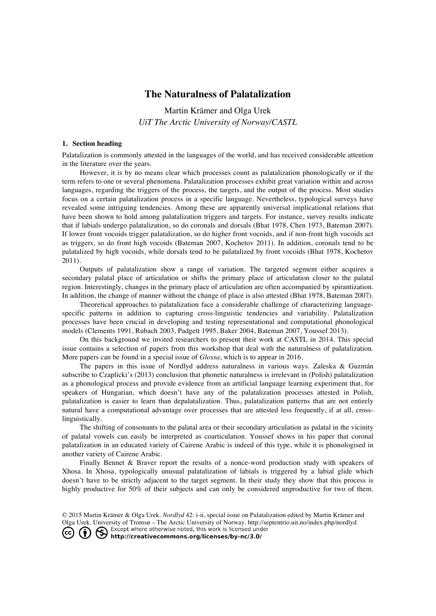## **The Naturalness of Palatalization**

Martin Krämer and Olga Urek *UiT The Arctic University of Norway/CASTL*

## **1. Section heading**

Palatalization is commonly attested in the languages of the world, and has received considerable attention in the literature over the years.

However, it is by no means clear which processes count as palatalization phonologically or if the term refers to one or several phenomena. Palatalization processes exhibit great variation within and across languages, regarding the triggers of the process, the targets, and the output of the process. Most studies focus on a certain palatalization process in a specific language. Nevertheless, typological surveys have revealed some intriguing tendencies. Among these are apparently universal implicational relations that have been shown to hold among palatalization triggers and targets. For instance, survey results indicate that if labials undergo palatalization, so do coronals and dorsals (Bhat 1978, Chen 1973, Bateman 2007). If lower front vocoids trigger palatalization, so do higher front vocoids, and if non-front high vocoids act as triggers, so do front high vocoids (Bateman 2007, Kochetov 2011). In addition, coronals tend to be palatalized by high vocoids, while dorsals tend to be palatalized by front vocoids (Bhat 1978, Kochetov 2011).

Outputs of palatalization show a range of variation. The targeted segment either acquires a secondary palatal place of articulation or shifts the primary place of articulation closer to the palatal region. Interestingly, changes in the primary place of articulation are often accompanied by spirantization. In addition, the change of manner without the change of place is also attested (Bhat 1978, Bateman 2007).

Theoretical approaches to palatalization face a considerable challenge of characterizing languagespecific patterns in addition to capturing cross-linguistic tendencies and variability. Palatalization processes have been crucial in developing and testing representational and computational phonological models (Clements 1991, Rubach 2003, Padgett 1995, Baker 2004, Bateman 2007, Youssef 2013).

On this background we invited researchers to present their work at CASTL in 2014. This special issue contains a selection of papers from this workshop that deal with the naturalness of palatalization. More papers can be found in a special issue of *Glossa*, which is to appear in 2016.

The papers in this issue of Nordlyd address naturalness in various ways. Zaleska & Guzmán subscribe to Czaplicki's (2013) conclusion that phonetic naturalness is irrelevant in (Polish) palatalization as a phonological process and provide evidence from an artificial language learning experiment that, for speakers of Hungarian, which doesn't have any of the palatalization processes attested in Polish, palatalization is easier to learn than depalatalization. Thus, palatalization patterns that are not entirely natural have a computational advantage over processes that are attested less frequently, if at all, crosslinguistically.

The shifting of consonants to the palatal area or their secondary articulation as palatal in the vicinity of palatal vowels can easily be interpreted as coarticulation. Youssef shows in his paper that coronal palatalization in an educated variety of Cairene Arabic is indeed of this type, while it is phonologised in another variety of Cairene Arabic.

Finally Bennet & Braver report the results of a nonce-word production study with speakers of Xhosa. In Xhosa, typologically unusual palatalization of labials is triggered by a labial glide which doesn't have to be strictly adjacent to the target segment. In their study they show that this process is highly productive for 50% of their subjects and can only be considered unproductive for two of them.